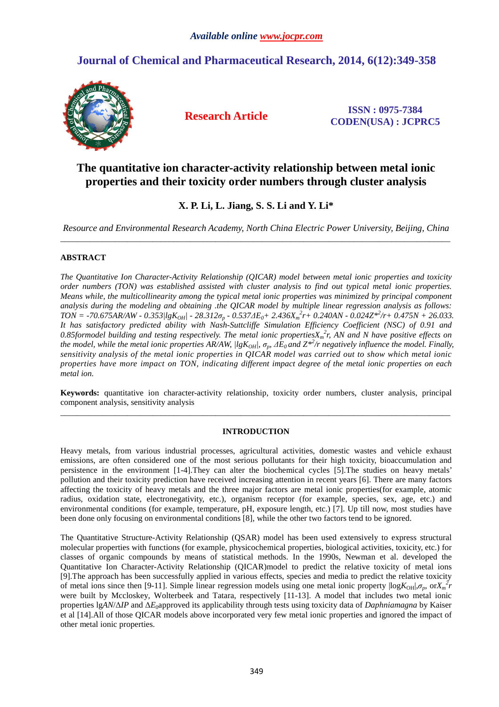# **Journal of Chemical and Pharmaceutical Research, 2014, 6(12):349-358**



**Research Article ISSN : 0975-7384 CODEN(USA) : JCPRC5**

## **The quantitative ion character-activity relationship between metal ionic properties and their toxicity order numbers through cluster analysis**

## **X. P. Li, L. Jiang, S. S. Li and Y. Li\***

*Resource and Environmental Research Academy, North China Electric Power University, Beijing, China*  \_\_\_\_\_\_\_\_\_\_\_\_\_\_\_\_\_\_\_\_\_\_\_\_\_\_\_\_\_\_\_\_\_\_\_\_\_\_\_\_\_\_\_\_\_\_\_\_\_\_\_\_\_\_\_\_\_\_\_\_\_\_\_\_\_\_\_\_\_\_\_\_\_\_\_\_\_\_\_\_\_\_\_\_\_\_\_\_\_\_\_\_\_

## **ABSTRACT**

*The Quantitative Ion Character-Activity Relationship (QICAR) model between metal ionic properties and toxicity order numbers (TON) was established assisted with cluster analysis to find out typical metal ionic properties. Means while, the multicollinearity among the typical metal ionic properties was minimized by principal component analysis during the modeling and obtaining .the QICAR model by multiple linear regression analysis as follows:*   $TON = -70.675AR/AW - 0.353/lgK<sub>OH</sub> - 28.312\sigma_p - 0.537AE_0 + 2.436X_m^2r + 0.240AN - 0.024Z^{*2}/r + 0.475N + 26.033.$ *It has satisfactory predicted ability with Nash-Suttcliffe Simulation Efficiency Coefficient (NSC) of 0.91 and 0.85formodel building and testing respectively. The metal ionic propertiesX<sup>m</sup> 2 r, AN and N have positive effects on the model, while the metal ionic properties AR/AW, |lgKOH|, σp, ∆E0 and Z\*<sup>2</sup> /r negatively influence the model. Finally, sensitivity analysis of the metal ionic properties in QICAR model was carried out to show which metal ionic properties have more impact on TON, indicating different impact degree of the metal ionic properties on each metal ion.* 

**Keywords:** quantitative ion character-activity relationship, toxicity order numbers, cluster analysis, principal component analysis, sensitivity analysis \_\_\_\_\_\_\_\_\_\_\_\_\_\_\_\_\_\_\_\_\_\_\_\_\_\_\_\_\_\_\_\_\_\_\_\_\_\_\_\_\_\_\_\_\_\_\_\_\_\_\_\_\_\_\_\_\_\_\_\_\_\_\_\_\_\_\_\_\_\_\_\_\_\_\_\_\_\_\_\_\_\_\_\_\_\_\_\_\_\_\_\_\_

## **INTRODUCTION**

Heavy metals, from various industrial processes, agricultural activities, domestic wastes and vehicle exhaust emissions, are often considered one of the most serious pollutants for their high toxicity, bioaccumulation and persistence in the environment [1-4].They can alter the biochemical cycles [5].The studies on heavy metals' pollution and their toxicity prediction have received increasing attention in recent years [6]. There are many factors affecting the toxicity of heavy metals and the three major factors are metal ionic properties(for example, atomic radius, oxidation state, electronegativity, etc.), organism receptor (for example, species, sex, age, etc.) and environmental conditions (for example, temperature, pH, exposure length, etc.) [7]. Up till now, most studies have been done only focusing on environmental conditions [8], while the other two factors tend to be ignored.

The Quantitative Structure-Activity Relationship (QSAR) model has been used extensively to express structural molecular properties with functions (for example, physicochemical properties, biological activities, toxicity, etc.) for classes of organic compounds by means of statistical methods. In the 1990s, Newman et al. developed the Quantitative Ion Character-Activity Relationship (QICAR)model to predict the relative toxicity of metal ions [9].The approach has been successfully applied in various effects, species and media to predict the relative toxicity of metal ions since then [9-11]. Simple linear regression models using one metal ionic property  $\log K_{\text{OH}}$ , $\sigma_p$ , or $X_n^2$ were built by Mccloskey, Wolterbeek and Tatara, respectively [11-13]. A model that includes two metal ionic properties lg*AN*/∆*IP* and ∆*E*0approved its applicability through tests using toxicity data of *Daphniamagna* by Kaiser et al [14].All of those QICAR models above incorporated very few metal ionic properties and ignored the impact of other metal ionic properties.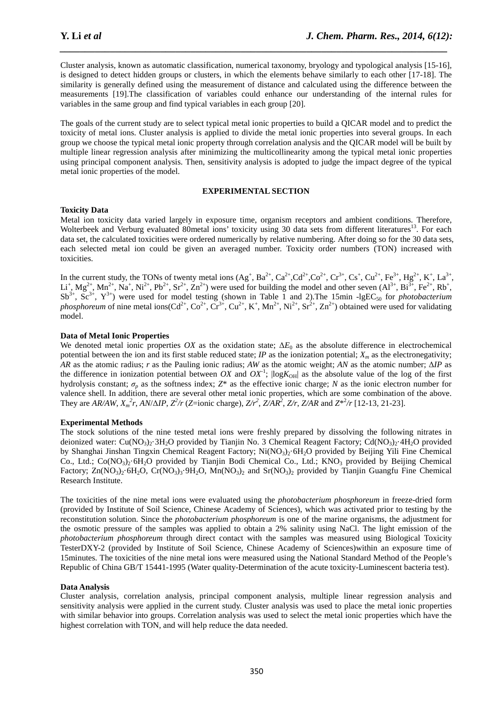Cluster analysis, known as automatic classification, numerical taxonomy, bryology and typological analysis [15-16], is designed to detect hidden groups or clusters, in which the elements behave similarly to each other [17-18]. The similarity is generally defined using the measurement of distance and calculated using the difference between the measurements [19].The classification of variables could enhance our understanding of the internal rules for variables in the same group and find typical variables in each group [20].

*\_\_\_\_\_\_\_\_\_\_\_\_\_\_\_\_\_\_\_\_\_\_\_\_\_\_\_\_\_\_\_\_\_\_\_\_\_\_\_\_\_\_\_\_\_\_\_\_\_\_\_\_\_\_\_\_\_\_\_\_\_\_\_\_\_\_\_\_\_\_\_\_\_\_\_\_\_*

The goals of the current study are to select typical metal ionic properties to build a QICAR model and to predict the toxicity of metal ions. Cluster analysis is applied to divide the metal ionic properties into several groups. In each group we choose the typical metal ionic property through correlation analysis and the QICAR model will be built by multiple linear regression analysis after minimizing the multicollinearity among the typical metal ionic properties using principal component analysis. Then, sensitivity analysis is adopted to judge the impact degree of the typical metal ionic properties of the model.

## **EXPERIMENTAL SECTION**

## **Toxicity Data**

Metal ion toxicity data varied largely in exposure time, organism receptors and ambient conditions. Therefore, Wolterbeek and Verburg evaluated 80metal ions' toxicity using 30 data sets from different literatures<sup>13</sup>. For each data set, the calculated toxicities were ordered numerically by relative numbering. After doing so for the 30 data sets, each selected metal ion could be given an averaged number. Toxicity order numbers (TON) increased with toxicities.

In the current study, the TONs of twenty metal ions  $(Ag^+, Ba^{2+}, Ca^{2+}, Ca^{2+}, Co^{2+}, Cr^{3+}, Cs^+, Cu^{2+}, Fe^{3+}, Hg^{2+}, K^+, La^{3+},$  $\text{Li}^+$ ,  $\text{Mg}^{2+}$ ,  $\text{Mn}^{2+}$ ,  $\text{Na}^+$ ,  $\text{Ni}^{2+}$ ,  $\text{Pb}^{2+}$ ,  $\text{Sr}^{2+}$ ,  $\text{Zn}^{2+}$ ) were used for building the model and other seven  $(\text{Al}^{3+}, \text{Bi}^{3+}, \text{Fe}^{2+}, \text{Rb}^{+})$ ,  $Sb^{3+}$ ,  $Sc^{3+}$ ,  $Y^{3+}$ ) were used for model testing (shown in Table 1 and 2). The 15min -1gEC<sub>50</sub> for *photobacterium phosphoreum* of nine metal ions( $Cd^{2+}$ ,  $Co^{2+}$ ,  $Cr^{3+}$ ,  $Cu^{2+}$ ,  $K^+$ ,  $Mn^{2+}$ ,  $Ni^{2+}$ ,  $Sr^{2+}$ ,  $Zn^{2+}$ ) obtained were used for validating model.

## **Data of Metal Ionic Properties**

We denoted metal ionic properties *OX* as the oxidation state;  $\Delta E_0$  as the absolute difference in electrochemical potential between the ion and its first stable reduced state; *IP* as the ionization potential;  $X_m$  as the electronegativity; *AR* as the atomic radius; *r* as the Pauling ionic radius; *AW* as the atomic weight; *AN* as the atomic number; ∆*IP* as the difference in ionization potential between *OX* and  $OX<sup>-1</sup>$ ;  $\log K<sub>OH</sub>$  as the absolute value of the log of the first hydrolysis constant;  $\sigma_p$  as the softness index;  $Z^*$  as the effective ionic charge; *N* as the ionic electron number for valence shell. In addition, there are several other metal ionic properties, which are some combination of the above. They are AR/AW,  $X_m^2 r$ , AN/ $\Delta IP$ ,  $Z^2/r$  (Z=ionic charge),  $Z/r^2$ ,  $ZAR^2$ ,  $Z/r$ ,  $ZAR$  and  $Z^{*2}/r$  [12-13, 21-23].

## **Experimental Methods**

The stock solutions of the nine tested metal ions were freshly prepared by dissolving the following nitrates in deionized water:  $Cu(NO<sub>3</sub>)<sub>2</sub>·3H<sub>2</sub>O$  provided by Tianjin No. 3 Chemical Reagent Factory;  $Cd(NO<sub>3</sub>)<sub>2</sub>·4H<sub>2</sub>O$  provided by Shanghai Jinshan Tingxin Chemical Reagent Factory; Ni(NO<sub>3</sub>)<sub>2</sub>·6H<sub>2</sub>O provided by Beijing Yili Fine Chemical Co., Ltd.;  $Co(NO<sub>3</sub>)<sub>2</sub>·6H<sub>2</sub>O$  provided by Tianjin Bodi Chemical Co., Ltd.; KNO<sub>3</sub> provided by Beijing Chemical Factory;  $\text{Zn}(\text{NO}_3)$ .  $\text{6H}_2\text{O}$ ,  $\text{Cr}(\text{NO}_3)$ <sub>3</sub>.  $\text{9H}_2\text{O}$ ,  $\text{Mn}(\text{NO}_3)$ <sub>2</sub> and  $\text{Sr}(\text{NO}_3)$ <sub>2</sub> provided by Tianjin Guangfu Fine Chemical Research Institute.

The toxicities of the nine metal ions were evaluated using the *photobacterium phosphoreum* in freeze-dried form (provided by Institute of Soil Science, Chinese Academy of Sciences), which was activated prior to testing by the reconstitution solution. Since the *photobacterium phosphoreum* is one of the marine organisms, the adjustment for the osmotic pressure of the samples was applied to obtain a 2% salinity using NaCl. The light emission of the *photobacterium phosphoreum* through direct contact with the samples was measured using Biological Toxicity TesterDXY-2 (provided by Institute of Soil Science, Chinese Academy of Sciences)within an exposure time of 15minutes. The toxicities of the nine metal ions were measured using the National Standard Method of the People's Republic of China GB/T 15441-1995 (Water quality-Determination of the acute toxicity-Luminescent bacteria test).

## **Data Analysis**

Cluster analysis, correlation analysis, principal component analysis, multiple linear regression analysis and sensitivity analysis were applied in the current study. Cluster analysis was used to place the metal ionic properties with similar behavior into groups. Correlation analysis was used to select the metal ionic properties which have the highest correlation with TON, and will help reduce the data needed.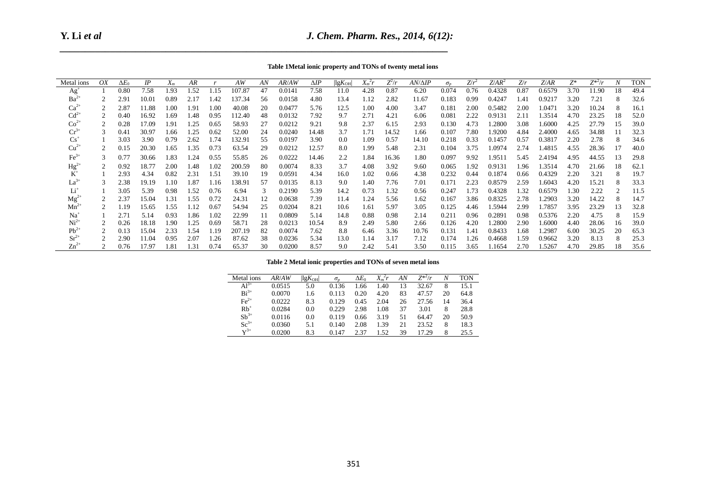**Y. Li** *et al*

| Table 1Metal ionic property and TONs of twenty metal ions |  |  |  |
|-----------------------------------------------------------|--|--|--|
|-----------------------------------------------------------|--|--|--|

|                            | Table 1 Metal ionic property and TONs of twenty metal ions                                                                                                                                                                                                                                                                                                                                                                                                                                                                                                                                                                                                                                                                                                                                                                         |                         |                |                  |              |                  |                 |                 |                  |                        |                     |                  |              |                |                |              |                  |              |                  |                  |                |                  |              |
|----------------------------|------------------------------------------------------------------------------------------------------------------------------------------------------------------------------------------------------------------------------------------------------------------------------------------------------------------------------------------------------------------------------------------------------------------------------------------------------------------------------------------------------------------------------------------------------------------------------------------------------------------------------------------------------------------------------------------------------------------------------------------------------------------------------------------------------------------------------------|-------------------------|----------------|------------------|--------------|------------------|-----------------|-----------------|------------------|------------------------|---------------------|------------------|--------------|----------------|----------------|--------------|------------------|--------------|------------------|------------------|----------------|------------------|--------------|
| Metal ions                 | OX                                                                                                                                                                                                                                                                                                                                                                                                                                                                                                                                                                                                                                                                                                                                                                                                                                 | $\overline{\Delta E_0}$ | IP             | $X_m$            | AR           | $\boldsymbol{r}$ | AW              | $\overline{AN}$ | AR/AW            | $\overline{\Delta IP}$ | $\lg K_{\text{OH}}$ | $X_m^2r$         | $Z^2/r$      | $AN/\Delta IP$ | $\sigma_p$     | $Z/r^2$      | $Z/AR^2$         | Z/r          | Z/AR             | $\overline{Z^*}$ | $Z^{*2}/r$     | $\boldsymbol{N}$ | <b>TON</b>   |
| $Ag+$                      | $\mathbf{1}$                                                                                                                                                                                                                                                                                                                                                                                                                                                                                                                                                                                                                                                                                                                                                                                                                       | 0.80                    | 7.58           | 1.93             | 1.52         | 1.15             | 107.87          | 47              | 0.0141           | 7.58                   | 11.0                | 4.28             | 0.87         | 6.20           | 0.074          | 0.76         | 0.4328           | 0.87         | 0.6579           | 3.70             | 11.90          | 18               | 49.4         |
| $Ba^{2+}$                  | $\sqrt{2}$                                                                                                                                                                                                                                                                                                                                                                                                                                                                                                                                                                                                                                                                                                                                                                                                                         | 2.91                    | 10.01          | 0.89             | 2.17         | 1.42             | 137.34          | 56              | 0.0158           | 4.80                   | 13.4                | 1.12             | 2.82         | 11.67          | 0.183          | 0.99         | 0.4247           | 1.41         | 0.9217           | 3.20             | 7.21           | 8                | 32.6         |
| $Ca^{2+}$<br>$Cd^{2+}$     | $\sqrt{2}$                                                                                                                                                                                                                                                                                                                                                                                                                                                                                                                                                                                                                                                                                                                                                                                                                         | 2.87                    | 11.88          | 1.00             | 1.91         | 1.00             | 40.08           | 20              | 0.0477           | 5.76                   | 12.5                | 1.00             | 4.00         | 3.47           | 0.181          | 2.00         | 0.5482           | 2.00         | 1.0471           | 3.20             | 10.24          | $\,8\,$          | 16.1         |
| $\mathrm{Co}^{2+}$         | $\sqrt{2}$<br>$\sqrt{2}$                                                                                                                                                                                                                                                                                                                                                                                                                                                                                                                                                                                                                                                                                                                                                                                                           | 0.40<br>0.28            | 16.92<br>17.09 | 1.69<br>1.91     | 1.48<br>1.25 | 0.95<br>0.65     | 112.40<br>58.93 | 48<br>27        | 0.0132<br>0.0212 | 7.92<br>9.21           | 9.7<br>9.8          | 2.71<br>2.37     | 4.21<br>6.15 | 6.06<br>2.93   | 0.081<br>0.130 | 2.22<br>4.73 | 0.9131<br>1.2800 | 2.11<br>3.08 | 1.3514<br>1.6000 | 4.70<br>4.25     | 23.25<br>27.79 | 18<br>15         | 52.0<br>39.0 |
| $Cr^{3+}$                  | 3                                                                                                                                                                                                                                                                                                                                                                                                                                                                                                                                                                                                                                                                                                                                                                                                                                  | 0.41                    | 30.97          | 1.66             | 1.25         | 0.62             | 52.00           | 24              | 0.0240           | 14.48                  | 3.7                 | 1.71             | 14.52        | 1.66           | 0.107          | 7.80         | 1.9200           | 4.84         | 2.4000           | 4.65             | 34.88          | 11               | 32.3         |
| $Cs^+$                     | $\mathbf{1}$                                                                                                                                                                                                                                                                                                                                                                                                                                                                                                                                                                                                                                                                                                                                                                                                                       | 3.03                    | 3.90           | 0.79             | 2.62         | 1.74             | 132.91          | 55              | 0.0197           | 3.90                   | 0.0                 | 1.09             | 0.57         | 14.10          | 0.218          | 0.33         | 0.1457           | 0.57         | 0.3817           | 2.20             | 2.78           | 8                | 34.6         |
| $Cu2+$                     | $\sqrt{2}$                                                                                                                                                                                                                                                                                                                                                                                                                                                                                                                                                                                                                                                                                                                                                                                                                         | 0.15                    | 20.30          | 1.65             | 1.35         | 0.73             | 63.54           | 29              | 0.0212           | 12.57                  | 8.0                 | 1.99             | 5.48         | 2.31           | 0.104          | 3.75         | 1.0974           | 2.74         | 1.4815           | 4.55             | 28.36          | 17               | 40.0         |
| $\text{Fe}^{3+}$           | $\mathfrak{Z}$                                                                                                                                                                                                                                                                                                                                                                                                                                                                                                                                                                                                                                                                                                                                                                                                                     | 0.77                    | 30.66          | 1.83             | 1.24         | 0.55             | 55.85           | 26              | 0.0222           | 14.46                  | 2.2                 | 1.84             | 16.36        | 1.80           | 0.097          | 9.92         | 1.9511           | 5.45         | 2.4194           | 4.95             | 44.55          | 13               | 29.8         |
| $Hg^{2+}$                  | $\sqrt{2}$                                                                                                                                                                                                                                                                                                                                                                                                                                                                                                                                                                                                                                                                                                                                                                                                                         | 0.92                    | 18.77          | 2.00             | 1.48         | 1.02             | 200.59          | 80              | 0.0074           | 8.33                   | 3.7                 | 4.08             | 3.92         | 9.60           | 0.065          | 1.92         | 0.9131           | 1.96         | 1.3514           | 4.70             | 21.66          | 18               | 62.1         |
| $\tilde{K}^+$<br>$La^{3+}$ | $\mathbf{1}$<br>$\mathfrak{Z}$                                                                                                                                                                                                                                                                                                                                                                                                                                                                                                                                                                                                                                                                                                                                                                                                     | 2.93<br>2.38            | 4.34<br>19.19  | $0.82\,$<br>1.10 | 2.31<br>1.87 | 1.51<br>1.16     | 39.10<br>138.91 | 19<br>57        | 0.0591<br>0.0135 | 4.34<br>8.13           | 16.0<br>9.0         | $1.02\,$<br>1.40 | 0.66<br>7.76 | 4.38<br>7.01   | 0.232<br>0.171 | 0.44<br>2.23 | 0.1874<br>0.8579 | 0.66<br>2.59 | 0.4329<br>1.6043 | 2.20<br>4.20     | 3.21<br>15.21  | 8<br>8           | 19.7<br>33.3 |
| $Li+$                      | $\mathbf{1}$                                                                                                                                                                                                                                                                                                                                                                                                                                                                                                                                                                                                                                                                                                                                                                                                                       | 3.05                    | 5.39           | 0.98             | 1.52         | 0.76             | 6.94            | 3               | 0.2190           | 5.39                   | 14.2                | 0.73             | 1.32         | 0.56           | 0.247          | 1.73         | 0.4328           | 1.32         | 0.6579           | 1.30             | 2.22           | $\overline{2}$   | 11.5         |
| $Mg^{2+}$                  | $\sqrt{2}$                                                                                                                                                                                                                                                                                                                                                                                                                                                                                                                                                                                                                                                                                                                                                                                                                         | 2.37                    | 15.04          | 1.31             | 1.55         | 0.72             | 24.31           | 12              | 0.0638           | 7.39                   | 11.4                | 1.24             | 5.56         | 1.62           | 0.167          | 3.86         | 0.8325           | 2.78         | 1.2903           | 3.20             | 14.22          | 8                | 14.7         |
| $Mn^{2+}$                  | $\sqrt{2}$                                                                                                                                                                                                                                                                                                                                                                                                                                                                                                                                                                                                                                                                                                                                                                                                                         | 1.19                    | 15.65          | 1.55             | 1.12         | 0.67             | 54.94           | 25              | 0.0204           | 8.21                   | 10.6                | 1.61             | 5.97         | 3.05           | 0.125          | 4.46         | 1.5944           | 2.99         | 1.7857           | 3.95             | 23.29          | 13               | 32.8         |
| $Na+$                      | $\mathbf{1}$                                                                                                                                                                                                                                                                                                                                                                                                                                                                                                                                                                                                                                                                                                                                                                                                                       | 2.71                    | 5.14           | 0.93             | 1.86         | 1.02             | 22.99           | 11              | 0.0809           | 5.14                   | 14.8                | 0.88             | 0.98         | 2.14           | 0.211          | 0.96         | 0.2891           | 0.98         | 0.5376           | 2.20             | 4.75           | 8                | 15.9         |
| $Ni2+$<br>$Pb^{2+}$        | $\sqrt{2}$<br>$\overline{2}$                                                                                                                                                                                                                                                                                                                                                                                                                                                                                                                                                                                                                                                                                                                                                                                                       | 0.26<br>0.13            | 18.18<br>15.04 | 1.90<br>2.33     | 1.25<br>1.54 | 0.69<br>1.19     | 58.71<br>207.19 | 28<br>82        | 0.0213<br>0.0074 | 10.54<br>7.62          | 8.9<br>8.8          | 2.49<br>6.46     | 5.80<br>3.36 | 2.66<br>10.76  | 0.126<br>0.131 | 4.20<br>1.41 | 1.2800<br>0.8433 | 2.90<br>1.68 | 1.6000<br>1.2987 | 4.40<br>6.00     | 28.06<br>30.25 | 16<br>20         | 39.0<br>65.3 |
| $Sr^{2+}$                  | $\mathbf{2}$                                                                                                                                                                                                                                                                                                                                                                                                                                                                                                                                                                                                                                                                                                                                                                                                                       | 2.90                    | 11.04          | 0.95             | 2.07         | 1.26             | 87.62           | 38              | 0.0236           | 5.34                   | 13.0                | 1.14             | 3.17         | 7.12           | 0.174          | 1.26         | 0.4668           | 1.59         | 0.9662           | 3.20             | 8.13           | 8                | 25.3         |
| $Zn^{2+}$                  | $\overline{c}$                                                                                                                                                                                                                                                                                                                                                                                                                                                                                                                                                                                                                                                                                                                                                                                                                     | 0.76                    | 17.97          | 1.81             | 1.31         | 0.74             | 65.37           | 30              | 0.0200           | 8.57                   | 9.0                 | 2.42             | 5.41         | 3.50           | 0.115          | 3.65         | 1.1654           | 2.70         | 1.5267           | 4.70             | 29.85          | 18               | 35.6         |
|                            | Table 2 Metal ionic properties and TONs of seven metal ions<br>Metal ions<br>AR/AW<br>$\sqrt{ ggK_{\text{OH}} }$<br>$X_m^2r$<br>AN<br>$Z^{*2}/r$<br>$\boldsymbol{N}$<br>TON<br>$\Delta E_0$<br>$\sigma_{v}$<br>$Al^{3+}$<br>0.136<br>13<br>32.67<br>$8\,$<br>0.0515<br>5.0<br>1.66<br>1.40<br>15.1<br>$Bi^{3+}$<br>83<br>0.0070<br>4.20<br>47.57<br>20<br>64.8<br>1.6<br>0.113<br>0.20<br>$\text{Fe}^{2+}$<br>0.0222<br>0.129<br>0.45<br>2.04<br>26<br>27.56<br>14<br>36.4<br>8.3<br>0.229<br>37<br>8<br>$Rb^+$<br>0.0284<br>0.0<br>2.98<br>1.08<br>3.01<br>28.8<br>$Sb^{3+}$<br>0.119<br>51<br>64.47<br>50.9<br>0.0116<br>0.0<br>0.66<br>3.19<br>20<br>$Sc^{3+}$<br>8<br>0.0360<br>0.140<br>2.08<br>1.39<br>21<br>23.52<br>18.3<br>5.1<br>$\mathbf{Y}^{3+}$<br>0.0200<br>8.3<br>1.52<br>39<br>17.29<br>8<br>25.5<br>0.147<br>2.37 |                         |                |                  |              |                  |                 |                 |                  |                        |                     |                  |              |                |                |              |                  |              |                  |                  |                |                  |              |
|                            |                                                                                                                                                                                                                                                                                                                                                                                                                                                                                                                                                                                                                                                                                                                                                                                                                                    |                         |                |                  |              |                  |                 |                 |                  |                        |                     | 351              |              |                |                |              |                  |              |                  |                  |                |                  |              |

| Metal ions         | AR/AW  | $\left  \lg K_{\text{OH}} \right $ | $\sigma_{\rm n}$ | $\Delta E_0$ | $X_{m}^{2}r$ | ΑN | $Z^{*2}/r$ | Ν  | TON  |
|--------------------|--------|------------------------------------|------------------|--------------|--------------|----|------------|----|------|
| $Al^{3+}$          | 0.0515 | 5.0                                | 0.136            | .66          | 1.40         | 13 | 32.67      | 8  | 15.1 |
| $\text{Bi}^{3+}$   | 0.0070 | 1.6                                | 0.113            | 0.20         | 4.20         | 83 | 47.57      | 20 | 64.8 |
| $\text{Fe}^{2+}$   | 0.0222 | 8.3                                | 0.129            | 0.45         | 2.04         | 26 | 27.56      | 14 | 36.4 |
| $Rb^+$             | 0.0284 | 0.0                                | 0.229            | 2.98         | 1.08         | 37 | 3.01       | 8  | 28.8 |
| $\mathrm{Sb}^{3+}$ | 0.0116 | 0.0                                | 0.119            | 0.66         | 3.19         | 51 | 64.47      | 20 | 50.9 |
| $Sc^{3+}$          | 0.0360 | 5.1                                | 0.140            | 2.08         | 1.39         | 21 | 23.52      | 8  | 18.3 |
| $\mathbf{V}^{3+}$  | 0.0200 | 8.3                                | 0.147            | 2.37         | 1.52         | 39 | 17.29      | 8  | 25.5 |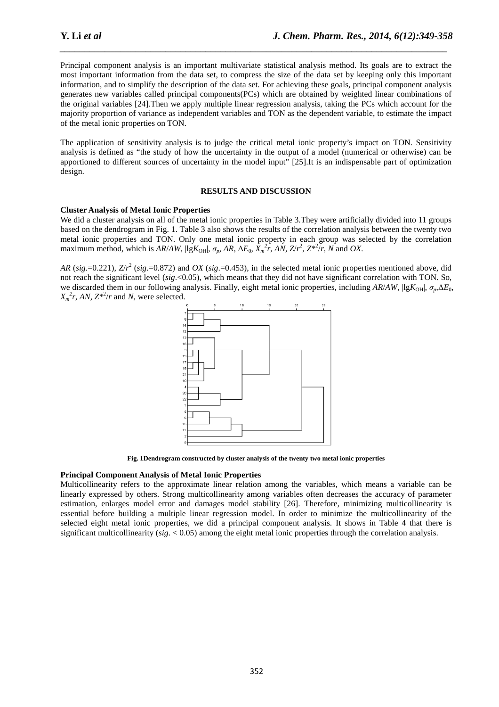Principal component analysis is an important multivariate statistical analysis method. Its goals are to extract the most important information from the data set, to compress the size of the data set by keeping only this important information, and to simplify the description of the data set. For achieving these goals, principal component analysis generates new variables called principal components(PCs) which are obtained by weighted linear combinations of the original variables [24].Then we apply multiple linear regression analysis, taking the PCs which account for the majority proportion of variance as independent variables and TON as the dependent variable, to estimate the impact of the metal ionic properties on TON.

*\_\_\_\_\_\_\_\_\_\_\_\_\_\_\_\_\_\_\_\_\_\_\_\_\_\_\_\_\_\_\_\_\_\_\_\_\_\_\_\_\_\_\_\_\_\_\_\_\_\_\_\_\_\_\_\_\_\_\_\_\_\_\_\_\_\_\_\_\_\_\_\_\_\_\_\_\_*

The application of sensitivity analysis is to judge the critical metal ionic property's impact on TON. Sensitivity analysis is defined as "the study of how the uncertainty in the output of a model (numerical or otherwise) can be apportioned to different sources of uncertainty in the model input" [25].It is an indispensable part of optimization design.

## **RESULTS AND DISCUSSION**

## **Cluster Analysis of Metal Ionic Properties**

We did a cluster analysis on all of the metal ionic properties in Table 3. They were artificially divided into 11 groups based on the dendrogram in Fig. 1. Table 3 also shows the results of the correlation analysis between the twenty two metal ionic properties and TON. Only one metal ionic property in each group was selected by the correlation maximum method, which is  $AR/AW$ ,  $\left| \lg K_{\text{OH}} \right|$ ,  $\sigma_p$ ,  $AR$ ,  $\Delta E_0$ ,  $\overline{X_m}^2 \overline{r}$ ,  $AN$ ,  $Z/r^2$ ,  $Z^{*2}/r$ ,  $N$  and  $OX$ .

*AR* (*sig*.=0.221), *Z*/*r* 2 (*sig*.=0.872) and *OX* (*sig*.=0.453), in the selected metal ionic properties mentioned above, did not reach the significant level (*sig*.<0.05), which means that they did not have significant correlation with TON. So, we discarded them in our following analysis. Finally, eight metal ionic properties, including AR/*AW*,  $\left| \frac{gK_{OH}}{g_n \Delta E_0} \right|$  $X_m^2 r$ , *AN*,  $Z^{*2}/r$  and *N*, were selected.



**Fig. 1Dendrogram constructed by cluster analysis of the twenty two metal ionic properties** 

## **Principal Component Analysis of Metal Ionic Properties**

Multicollinearity refers to the approximate linear relation among the variables, which means a variable can be linearly expressed by others. Strong multicollinearity among variables often decreases the accuracy of parameter estimation, enlarges model error and damages model stability [26]. Therefore, minimizing multicollinearity is essential before building a multiple linear regression model. In order to minimize the multicollinearity of the selected eight metal ionic properties, we did a principal component analysis. It shows in Table 4 that there is significant multicollinearity (*sig*. < 0.05) among the eight metal ionic properties through the correlation analysis.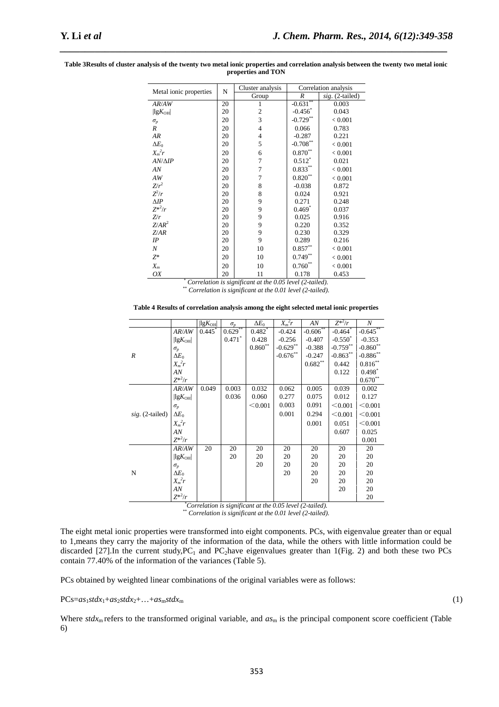|                                    | N  | Cluster analysis |                   | Correlation analysis |
|------------------------------------|----|------------------|-------------------|----------------------|
| Metal ionic properties             |    | Group            | R                 | sig. (2-tailed)      |
| AR/AW                              | 20 | 1                | $-0.631**$        | 0.003                |
| $\left  \lg K_{\text{OH}} \right $ | 20 | $\overline{c}$   | $-0.456^*$        | 0.043                |
| $\sigma_p$                         | 20 | 3                | $-0.729$ **       | ${}_{0.001}$         |
| R                                  | 20 | 4                | 0.066             | 0.783                |
| AR                                 | 20 | 4                | $-0.287$          | 0.221                |
| $\Delta E_0$                       | 20 | 5                | $-0.708***$       | ${}_{0.001}$         |
| $X_m^2r$                           | 20 | 6                | $0.870**$         | ${}_{0.001}$         |
| $AN/\Delta IP$                     | 20 | 7                | $0.512^*$         | 0.021                |
| AN                                 | 20 | 7                | $0.833**$         | ${}< 0.001$          |
| AW                                 | 20 | 7                | $0.820**$         | ${}< 0.001$          |
| $Z/r^2$                            | 20 | 8                | $-0.038$          | 0.872                |
| $Z^2/r$                            | 20 | 8                | 0.024             | 0.921                |
| $\Delta IP$                        | 20 | 9                | 0.271             | 0.248                |
| $Z^{*2}/r$                         | 20 | 9                | $0.469^{\degree}$ | 0.037                |
| Z/r                                | 20 | 9                | 0.025             | 0.916                |
| $Z/AR^2$                           | 20 | 9                | 0.220             | 0.352                |
| Z/AR                               | 20 | 9                | 0.230             | 0.329                |
| IP                                 | 20 | 9                | 0.289             | 0.216                |
| N                                  | 20 | 10               | $0.857**$         | ${}_{0.001}$         |
| $Z^*$                              | 20 | 10               | $0.749**$         | ${}_{0.001}$         |
| $X_m$                              | 20 | 10               | $0.760**$         | ${}_{0.001}$         |
| OX                                 | 20 | 11               | 0.178             | 0.453                |

#### **Table 3Results of cluster analysis of the twenty two metal ionic properties and correlation analysis between the twenty two metal ionic properties and TON**

*\_\_\_\_\_\_\_\_\_\_\_\_\_\_\_\_\_\_\_\_\_\_\_\_\_\_\_\_\_\_\_\_\_\_\_\_\_\_\_\_\_\_\_\_\_\_\_\_\_\_\_\_\_\_\_\_\_\_\_\_\_\_\_\_\_\_\_\_\_\_\_\_\_\_\_\_\_*

*\* Correlation is significant at the 0.05 level (2-tailed). \*\* Correlation is significant at the 0.01 level (2-tailed).* 

#### **Table 4 Results of correlation analysis among the eight selected metal ionic properties**

|                   |                                    | $\left  \lg K_{\text{OH}} \right $ | $\sigma_{v}$ | $\Delta E_0$       | $X_m^2r$                            | AN                 | $Z^{*2}/r$            | $\boldsymbol{N}$             |
|-------------------|------------------------------------|------------------------------------|--------------|--------------------|-------------------------------------|--------------------|-----------------------|------------------------------|
|                   | AR/AW                              | $0.445*$                           | $0.629**$    | $0.482*$           | $-0.424$                            | $-0.606**$         | $-0.464$ <sup>*</sup> | $-0.645**$                   |
|                   | $\left  \lg K_{\text{OH}} \right $ |                                    | $0.471*$     | 0.428              | $-0.256$                            | $-0.407$           | $-0.550^*$            | $-0.353$                     |
|                   | $\sigma_{v}$                       |                                    |              | $0.860^{\ast\ast}$ | $-0.629**$                          | $-0.388$           | $-0.759**$            | $\textbf{-0.860}^{\ast\ast}$ |
| R                 | $\Delta E_0$                       |                                    |              |                    | $-0.676**$                          | $-0.247$           | $-0.863**$            | $\textbf{-0.886}^{\ast\ast}$ |
|                   | $X_m^2r$                           |                                    |              |                    |                                     | $0.682^{\ast\ast}$ | 0.442                 | $0.816^{\ast\ast}$           |
|                   | AN                                 |                                    |              |                    |                                     |                    | 0.122                 | $0.498*$                     |
|                   | $Z^{*2}/r$                         |                                    |              |                    |                                     |                    |                       | $0.670**$                    |
|                   | AR/AW                              | 0.049                              | 0.003        | 0.032              | 0.062                               | 0.005              | 0.039                 | 0.002                        |
|                   | $\left  \lg K_{\text{OH}} \right $ |                                    | 0.036        | 0.060              | 0.277                               | 0.075              | 0.012                 | 0.127                        |
|                   | $\sigma_p$                         |                                    |              | < 0.001            | 0.003                               | 0.091              | < 0.001               | < 0.001                      |
| $sig. (2-tailed)$ | $\Delta E_0$                       |                                    |              |                    | 0.001                               | 0.294              | < 0.001               | < 0.001                      |
|                   | $X_m^2r$                           |                                    |              |                    |                                     | 0.001              | 0.051                 | < 0.001                      |
|                   | AN                                 |                                    |              |                    |                                     |                    | 0.607                 | 0.025                        |
|                   | $Z^{*2}/r$                         |                                    |              |                    |                                     |                    |                       | 0.001                        |
|                   | AR/AW                              | 20                                 | 20           | 20                 | 20                                  | 20                 | 20                    | 20                           |
|                   | $\left  \lg K_{\text{OH}} \right $ |                                    | 20           | 20                 | 20                                  | 20                 | 20                    | 20                           |
|                   | $\sigma_p$                         |                                    |              | 20                 | 20                                  | 20                 | 20                    | 20                           |
| N                 | $\Delta E_0$                       |                                    |              |                    | 20                                  | 20                 | 20                    | 20                           |
|                   | $X_m^2r$                           |                                    |              |                    |                                     | 20                 | 20                    | 20                           |
|                   | AN                                 |                                    |              |                    |                                     |                    | 20                    | 20                           |
|                   | $Z^{*2}/r$<br>$* -$                | $\mathbf{r}$                       |              | $\mathbf{r}$       | $\wedge$ $\wedge$ $\wedge$ $\wedge$ | $\sim$<br>$\cdots$ |                       | 20                           |

*\*Correlation is significant at the 0.05 level (2-tailed). \*\* Correlation is significant at the 0.01 level (2-tailed).* 

The eight metal ionic properties were transformed into eight components. PCs, with eigenvalue greater than or equal to 1,means they carry the majority of the information of the data, while the others with little information could be discarded [27].In the current study,  $PC_1$  and  $PC_2$ have eigenvalues greater than 1(Fig. 2) and both these two PCs contain 77.40% of the information of the variances (Table 5).

PCs obtained by weighted linear combinations of the original variables were as follows:

## $PCs = as_1stdx_1 + as_2stdx_2 + \ldots + as_mstdx_m$  (1)

Where  $stdx_m$  refers to the transformed original variable, and  $as_m$  is the principal component score coefficient (Table 6)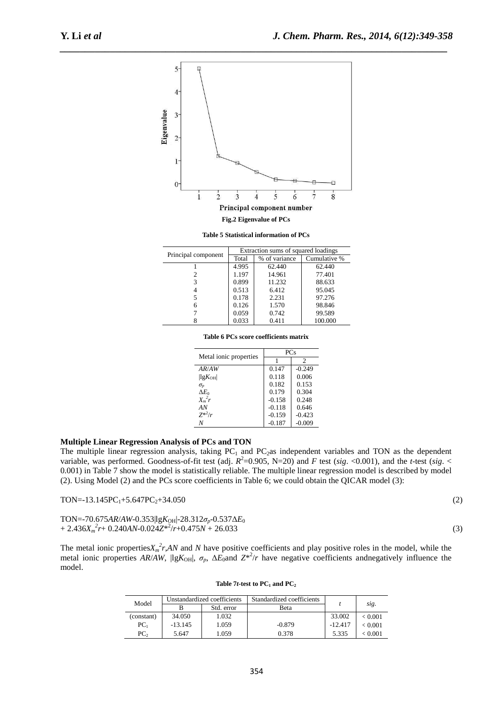**Table 5 Statistical information of PCs**  Principal component <br>
Total 9% of variance Cumulative % % of variance 1 4.995 62.440 62.440  $\begin{array}{c|c|c|c} 2 & 1.197 & 14.961 & 77.401 \\ \hline 3 & 0.899 & 11.232 & 88.633 \end{array}$  $\begin{array}{c|c|c|c|c|c} 3 & 0.899 & 11.232 & 88.633 \\ 4 & 0.513 & 6.412 & 95.045 \end{array}$  $\begin{array}{c|c|c|c|c} 4 & 0.513 & 6.412 & 95.045 \\ 5 & 0.178 & 2.231 & 97.276 \end{array}$ 97.276  $\begin{array}{c|c|c|c|c|c} 6 & 0.126 & 1.570 & 98.846 \\ 7 & 0.059 & 0.742 & 99.589 \end{array}$  $\begin{array}{c|c|c|c|c} 7 & 0.059 & 0.742 & 99.589 \\ 8 & 0.033 & 0.411 & 100.000 \end{array}$ 100.000 **Table 6 PCs score coefficients matrix** 

|  |  | Table 6 PCs score coefficients matrix |  |
|--|--|---------------------------------------|--|
|  |  |                                       |  |

*AR/AW*  $|1gK_{OH}|$  0.147 -0.249<br>0.118 0.006  $|\lg K_{\text{OH}}|$  0.118  $\sigma_n$  0.118  $\sigma_p$  0.182 0.153<br>  $\Delta E_0$  0.179 0.304

 $\begin{array}{c|c}\nX_m^2 r \\
AN\n\end{array}$  -0.158 0.248<br>
-0.118 0.646

*N* -0.187 -0.009

The multiple linear regression analysis, taking  $PC_1$  and  $PC_2$ as independent variables and TON as the dependent variable, was performed. Goodness-of-fit test (adj.  $R^2$ =0.905, N=20) and *F* test (*sig*. <0.001), and the *t*-test (*sig.* < 0.001) in Table 7 show the model is statistically reliable. The multiple linear regression model is described by model

(2). Using Model (2) and the PCs score coefficients in Table 6; we could obtain the QICAR model (3):

1 2

 $0.179$  0.304<br>
−0.158 0.248

/*r* -0.159 -0.423

 $-0.118$ 

Metal ionic properties  $\frac{P}{\sqrt{P}}$ 

| $TON = -13.145PC_1 + 5.647PC_2 + 34.050$                                   | (2) |
|----------------------------------------------------------------------------|-----|
| TON=-70.675AR/AW-0.353 lg $K_{OH}$  -28.312 $\sigma_p$ -0.537 $\Delta E_0$ |     |

*X<sup>m</sup> 2*

*Z*\* 2

 $+ 2.436X_m^2r + 0.240AN - 0.024Z^{*2}/r + 0.475N + 26.033$  (3)

**Multiple Linear Regression Analysis of PCs and TON** 

The metal ionic properties $X_m^2 r$ , *AN* and *N* have positive coefficients and play positive roles in the model, while the metal ionic properties *AR*/*AW*,  $\left| \lg K_{\text{OH}} \right|$ ,  $\sigma_p$ ,  $\Delta E_0$  and  $Z^{*2}/r$  have negative coefficients and negatively influence the model.

|                 |           | Unstandardized coefficients | Standardized coefficients |           |              |  |
|-----------------|-----------|-----------------------------|---------------------------|-----------|--------------|--|
| Model           |           | Std. error                  | Beta                      |           | sig.         |  |
| (constant)      | 34.050    | 1.032                       |                           | 33.002    | ${}_{0.001}$ |  |
| PC <sub>1</sub> | $-13.145$ | 1.059                       | $-0.879$                  | $-12.417$ | ${}_{0.001}$ |  |
| PC <sub>2</sub> | 5.647     | 1.059                       | 0.378                     | 5.335     | < 0.001      |  |

#### Table 7*t***-test to**  $PC<sub>1</sub>$  **and**  $PC<sub>2</sub>$

| ć |
|---|
|   |
|   |
|   |
|   |
|   |



*\_\_\_\_\_\_\_\_\_\_\_\_\_\_\_\_\_\_\_\_\_\_\_\_\_\_\_\_\_\_\_\_\_\_\_\_\_\_\_\_\_\_\_\_\_\_\_\_\_\_\_\_\_\_\_\_\_\_\_\_\_\_\_\_\_\_\_\_\_\_\_\_\_\_\_\_\_*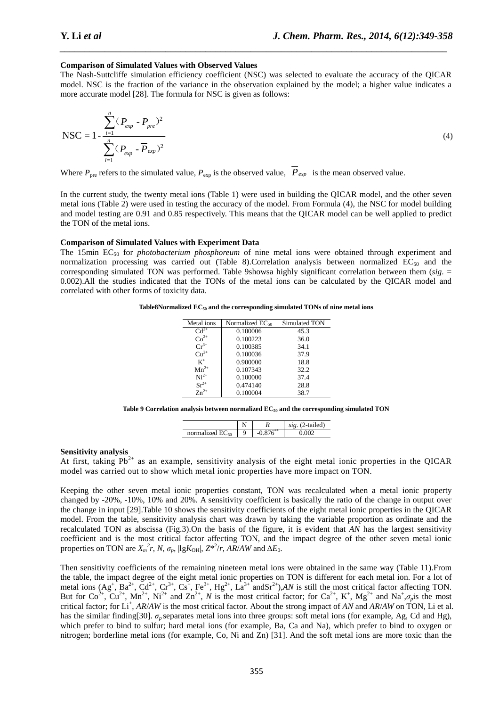#### **Comparison of Simulated Values with Observed Values**

The Nash-Suttcliffe simulation efficiency coefficient (NSC) was selected to evaluate the accuracy of the QICAR model. NSC is the fraction of the variance in the observation explained by the model; a higher value indicates a more accurate model [28]. The formula for NSC is given as follows:

*\_\_\_\_\_\_\_\_\_\_\_\_\_\_\_\_\_\_\_\_\_\_\_\_\_\_\_\_\_\_\_\_\_\_\_\_\_\_\_\_\_\_\_\_\_\_\_\_\_\_\_\_\_\_\_\_\_\_\_\_\_\_\_\_\_\_\_\_\_\_\_\_\_\_\_\_\_*

$$
NSC = 1 - \frac{\sum_{i=1}^{n} (P_{exp} - P_{pre})^2}{\sum_{i=1}^{n} (P_{exp} - P_{exp})^2}
$$
(4)

Where  $P_{\text{pre}}$  refers to the simulated value,  $P_{\text{exp}}$  is the observed value,  $\overline{P}_{\text{exp}}$  is the mean observed value.

In the current study, the twenty metal ions (Table 1) were used in building the QICAR model, and the other seven metal ions (Table 2) were used in testing the accuracy of the model. From Formula (4), the NSC for model building and model testing are 0.91 and 0.85 respectively. This means that the QICAR model can be well applied to predict the TON of the metal ions.

#### **Comparison of Simulated Values with Experiment Data**

The 15min EC50 for *photobacterium phosphoreum* of nine metal ions were obtained through experiment and normalization processing was carried out (Table 8). Correlation analysis between normalized  $EC_{50}$  and the corresponding simulated TON was performed. Table 9showsa highly significant correlation between them (*sig*. = 0.002).All the studies indicated that the TONs of the metal ions can be calculated by the QICAR model and correlated with other forms of toxicity data.

| Table8Normalized $EC_{50}$ and the corresponding simulated TONs of nine metal ions |  |  |  |  |  |
|------------------------------------------------------------------------------------|--|--|--|--|--|
|------------------------------------------------------------------------------------|--|--|--|--|--|

| Metal ions | Normalized $EC_{50}$ | Simulated TON |
|------------|----------------------|---------------|
| $Cd^{2+}$  | 0.100006             | 45.3          |
| $Co2+$     | 0.100223             | 36.0          |
| $Cr^{3+}$  | 0.100385             | 34.1          |
| $Cu2+$     | 0.100036             | 37.9          |
| $K^+$      | 0.900000             | 18.8          |
| $Mn^{2+}$  | 0.107343             | 32.2          |
| $Ni2+$     | 0.100000             | 37.4          |
| $Sr^{2+}$  | 0.474140             | 28.8          |
| $Zn^{2+}$  | 0.100004             | 38.7          |

**Table 9 Correlation analysis between normalized EC50 and the corresponding simulated TON** 

|                      |          | -tailed)<br>CLO |
|----------------------|----------|-----------------|
| normalized $EC_{50}$ | $\Omega$ |                 |
|                      |          |                 |

#### **Sensitivity analysis**

At first, taking  $Pb^{2+}$  as an example, sensitivity analysis of the eight metal ionic properties in the QICAR model was carried out to show which metal ionic properties have more impact on TON.

Keeping the other seven metal ionic properties constant, TON was recalculated when a metal ionic property changed by -20%, -10%, 10% and 20%. A sensitivity coefficient is basically the ratio of the change in output over the change in input [29].Table 10 shows the sensitivity coefficients of the eight metal ionic properties in the QICAR model. From the table, sensitivity analysis chart was drawn by taking the variable proportion as ordinate and the recalculated TON as abscissa (Fig.3).On the basis of the figure, it is evident that *AN* has the largest sensitivity coefficient and is the most critical factor affecting TON, and the impact degree of the other seven metal ionic properties on TON are  $X_m^2 r$ , *N*,  $\sigma_p$ , |lg $K_{\text{OH}}$ ,  $Z^{*2}/r$ ,  $AR/AW$  and  $\Delta E_0$ .

Then sensitivity coefficients of the remaining nineteen metal ions were obtained in the same way (Table 11).From the table, the impact degree of the eight metal ionic properties on TON is different for each metal ion. For a lot of metal ions  $(Ag^+, Ba^{2+}, Cd^{2+}, Cr^{3+}, Cs^+, Fe^{3+}, Hg^{2+}, La^{3+} and Sr^{2+})$ , *AN* is still the most critical factor affecting TON. But for  $Co^{2+}$ ,  $Cu^{2+}$ ,  $Mn^{2+}$ ,  $Ni^{2+}$  and  $Zn^{2+}$ , *N* is the most critical factor; for  $Ca^{2+}$ ,  $K^+$ ,  $Mg^{2+}$  and  $Na^+$ , $\sigma_p$  is the most critical factor; for Li<sup>+</sup>, *AR*/*AW* is the most critical factor. About the strong impact of *AN* and *AR*/*AW* on TON, Li et al. has the similar finding[30].  $\sigma_p$  separates metal ions into three groups: soft metal ions (for example, Ag, Cd and Hg), which prefer to bind to sulfur; hard metal ions (for example, Ba, Ca and Na), which prefer to bind to oxygen or nitrogen; borderline metal ions (for example, Co, Ni and Zn) [31]. And the soft metal ions are more toxic than the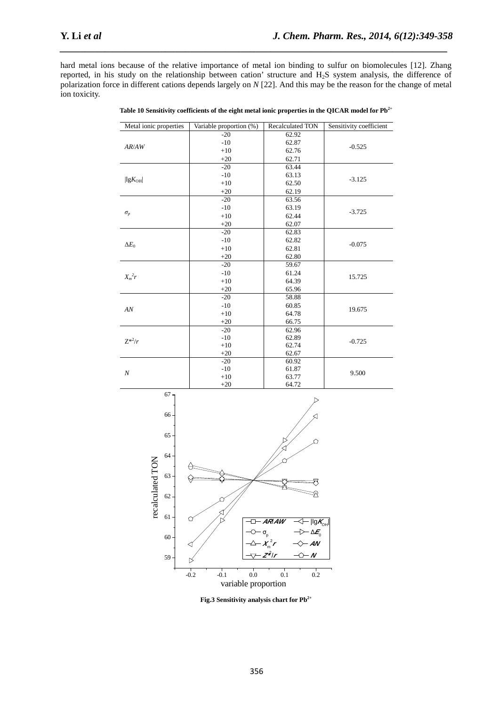hard metal ions because of the relative importance of metal ion binding to sulfur on biomolecules [12]. Zhang reported, in his study on the relationship between cation' structure and H2S system analysis, the difference of polarization force in different cations depends largely on *N* [22]. And this may be the reason for the change of metal ion toxicity.

*\_\_\_\_\_\_\_\_\_\_\_\_\_\_\_\_\_\_\_\_\_\_\_\_\_\_\_\_\_\_\_\_\_\_\_\_\_\_\_\_\_\_\_\_\_\_\_\_\_\_\_\_\_\_\_\_\_\_\_\_\_\_\_\_\_\_\_\_\_\_\_\_\_\_\_\_\_*

| Metal ionic properties             | Variable proportion (%)<br>Recalculated TON |       | Sensitivity coefficient |  |  |
|------------------------------------|---------------------------------------------|-------|-------------------------|--|--|
| AR/AW                              | $-20$                                       | 62.92 | $-0.525$                |  |  |
|                                    | $-10$                                       | 62.87 |                         |  |  |
|                                    | $+10$                                       | 62.76 |                         |  |  |
|                                    | $+20$                                       | 62.71 |                         |  |  |
| $\left  \lg K_{\text{OH}} \right $ | $-20$                                       | 63.44 | $-3.125$                |  |  |
|                                    | $-10$                                       | 63.13 |                         |  |  |
|                                    | $+10$                                       | 62.50 |                         |  |  |
|                                    | $+20$                                       | 62.19 |                         |  |  |
| $\sigma_p$                         | $-20$                                       | 63.56 | $-3.725$                |  |  |
|                                    | $-10$                                       | 63.19 |                         |  |  |
|                                    | $+10$                                       | 62.44 |                         |  |  |
|                                    | $+20$                                       | 62.07 |                         |  |  |
| $\Delta E_0$                       | $-20$                                       | 62.83 |                         |  |  |
|                                    | $-10$                                       | 62.82 | $-0.075$                |  |  |
|                                    | $+10$                                       | 62.81 |                         |  |  |
|                                    | $+20$                                       | 62.80 |                         |  |  |
| $X_m^2r$                           | $-20$                                       | 59.67 |                         |  |  |
|                                    | $-10$                                       | 61.24 | 15.725                  |  |  |
|                                    | $+10$                                       | 64.39 |                         |  |  |
|                                    | $+20$                                       | 65.96 |                         |  |  |
| AN                                 | $-20$                                       | 58.88 | 19.675                  |  |  |
|                                    | $-10$                                       | 60.85 |                         |  |  |
|                                    | $+10$                                       | 64.78 |                         |  |  |
|                                    | $+20$                                       | 66.75 |                         |  |  |
| $Z^{*2}/r$                         | $-20$                                       | 62.96 | $-0.725$                |  |  |
|                                    | $-10$                                       | 62.89 |                         |  |  |
|                                    | $+10$                                       | 62.74 |                         |  |  |
|                                    | $+20$                                       | 62.67 |                         |  |  |
| $\boldsymbol{N}$                   | $-20$                                       | 60.92 |                         |  |  |
|                                    | $-10$                                       | 61.87 | 9.500                   |  |  |
|                                    | $+10$                                       | 63.77 |                         |  |  |
|                                    | $+20$                                       | 64.72 |                         |  |  |

Table 10 Sensitivity coefficients of the eight metal ionic properties in the QICAR model for Pb<sup>2+</sup>



**Fig.3 Sensitivity analysis chart for Pb2+**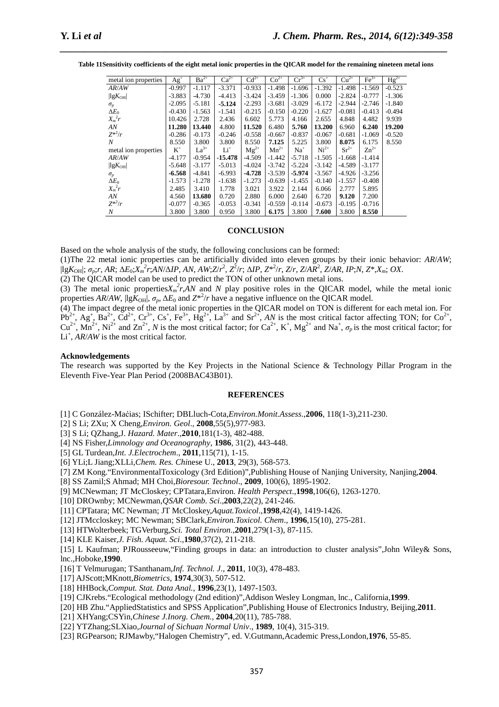| metal ion properties               | $Ag+$    | $Ba^{2+}$ | $Ca^{2+}$ | $Cd^{2+}$ | $Co2+$    | $Cr^{3+}$ | $Cs^+$   | $Cu2+$    | $Fe3+$    | $Hg^{2+}$ |
|------------------------------------|----------|-----------|-----------|-----------|-----------|-----------|----------|-----------|-----------|-----------|
| AR/AW                              | $-0.997$ | $-1.117$  | $-3.371$  | $-0.933$  | $-1.498$  | $-1.696$  | $-1.392$ | $-1.498$  | $-1.569$  | $-0.523$  |
| $\left  \lg K_{\text{OH}} \right $ | $-3.883$ | $-4.730$  | $-4.413$  | $-3.424$  | $-3.459$  | $-1.306$  | 0.000    | $-2.824$  | $-0.777$  | $-1.306$  |
| $\sigma_p$                         | $-2.095$ | $-5.181$  | $-5.124$  | $-2.293$  | $-3.681$  | $-3.029$  | -6.172   | $-2.944$  | $-2.746$  | -1.840    |
| $\Delta E_0$                       | -0.430   | $-1.563$  | $-1.541$  | $-0.215$  | $-0.150$  | $-0.220$  | $-1.627$ | $-0.081$  | $-0.413$  | $-0.494$  |
| $X_m^2r$                           | 10.426   | 2.728     | 2.436     | 6.602     | 5.773     | 4.166     | 2.655    | 4.848     | 4.482     | 9.939     |
| AN                                 | 11.280   | 13.440    | 4.800     | 11.520    | 6.480     | 5.760     | 13.200   | 6.960     | 6.240     | 19.200    |
| $Z^{*2}/r$                         | $-0.286$ | $-0.173$  | $-0.246$  | $-0.558$  | $-0.667$  | $-0.837$  | $-0.067$ | $-0.681$  | $-1.069$  | $-0.520$  |
| N                                  | 8.550    | 3.800     | 3.800     | 8.550     | 7.125     | 5.225     | 3.800    | 8.075     | 6.175     | 8.550     |
| metal ion properties               | $K^+$    | $La^{3+}$ | $Li^+$    | $Mg^{2+}$ | $Mn^{2+}$ | $Na+$     | $Ni2+$   | $Sr^{2+}$ | $Zn^{2+}$ |           |
| AR/AW                              | $-4.177$ | $-0.954$  | $-15.478$ | $-4.509$  | $-1.442$  | $-5.718$  | $-1.505$ | $-1.668$  | $-1.414$  |           |
| $\left  \lg K_{\text{OH}} \right $ | $-5.648$ | $-3.177$  | $-5.013$  | $-4.024$  | $-3.742$  | $-5.224$  | $-3.142$ | $-4.589$  | $-3.177$  |           |
| $\sigma_p$                         | $-6.568$ | $-4.841$  | $-6.993$  | $-4.728$  | $-3.539$  | $-5.974$  | $-3.567$ | $-4.926$  | $-3.256$  |           |
| $\Delta E_0$                       | $-1.573$ | $-1.278$  | $-1.638$  | $-1.273$  | $-0.639$  | $-1.455$  | $-0.140$ | $-1.557$  | $-0.408$  |           |
| $X_m^2r$                           | 2.485    | 3.410     | 1.778     | 3.021     | 3.922     | 2.144     | 6.066    | 2.777     | 5.895     |           |
| AN                                 | 4.560    | 13.680    | 0.720     | 2.880     | 6.000     | 2.640     | 6.720    | 9.120     | 7.200     |           |
| $Z^{*2}/r$                         | $-0.077$ | $-0.365$  | $-0.053$  | $-0.341$  | $-0.559$  | $-0.114$  | $-0.673$ | $-0.195$  | $-0.716$  |           |
| $\boldsymbol{N}$                   | 3.800    | 3.800     | 0.950     | 3.800     | 6.175     | 3.800     | 7.600    | 3.800     | 8.550     |           |

**Table 11Sensitivity coefficients of the eight metal ionic properties in the QICAR model for the remaining nineteen metal ions** 

*\_\_\_\_\_\_\_\_\_\_\_\_\_\_\_\_\_\_\_\_\_\_\_\_\_\_\_\_\_\_\_\_\_\_\_\_\_\_\_\_\_\_\_\_\_\_\_\_\_\_\_\_\_\_\_\_\_\_\_\_\_\_\_\_\_\_\_\_\_\_\_\_\_\_\_\_\_*

#### **CONCLUSION**

Based on the whole analysis of the study, the following conclusions can be formed:

(1)The 22 metal ionic properties can be artificially divided into eleven groups by their ionic behavior: *AR*/*AW*;  $\left| \log K_{\text{OH}} \right|$ ;  $\sigma_p$ ;r, AR;  $\Delta E_0$ ; $\overline{X}_m^2 r$ ; $\overline{A}N/\Delta IP$ , AN, AW; $Z/r^2$ ,  $Z^2/r$ ;  $\Delta IP$ ,  $Z^{*2}/r$ ,  $Z/r$ ,  $Z/AR^2$ ,  $\overline{Z}/AR$ ,  $IP$ ; $N$ ,  $Z^*, X_m$ ;  $OX$ .

(2) The QICAR model can be used to predict the TON of other unknown metal ions.

(3) The metal ionic properties $X_m^2 r$ , *AN* and *N* play positive roles in the QICAR model, while the metal ionic properties *AR*/*AW*,  $\left| \lg K_{\text{OH}} \right|$ ,  $\sigma_p$ ,  $\Delta E_0$  and  $Z^{*2}/r$  have a negative influence on the QICAR model.

(4) The impact degree of the metal ionic properties in the QICAR model on TON is different for each metal ion. For  $Pb^{2+}$ ,  $Ag^+$ ,  $Ba^{2+}$ ,  $Cd^{2+}$ ,  $Cr^{3+}$ ,  $Cs^+$ ,  $Fe^{3+}$ ,  $Hg^{2+}$ ,  $La^{3+}$  and  $Sr^{2+}$ ,  $AN$  is the most critical factor affecting TON; for  $Co^{2+}$ ,  $Cu^{2+}$ ,  $Mn^{2+}$ ,  $Ni^{2+}$  and  $Zn^{2+}$ , N is the most critical factor; for  $Ca^{2+}$ , K<sup>+</sup>, Mg<sup>2+</sup> and Na<sup>+</sup>,  $\sigma_p$  is the most critical factor; for Li<sup>+</sup>, *AR*/*AW* is the most critical factor.

#### **Acknowledgements**

The research was supported by the Key Projects in the National Science & Technology Pillar Program in the Eleventh Five-Year Plan Period (2008BAC43B01).

#### **REFERENCES**

[1] C González-Maćias; ISchifter; DBLluch-Cota,*Environ.Monit.Assess*.,**2006**, 118(1-3),211-230.

[2] S Li; ZXu; X Cheng,*Environ. Geol*., **2008**,55(5),977-983.

- [3] S Li; QZhang,J. *Hazard. Mater*.,**2010**,181(1-3), 482-488.
- [4] NS Fisher,*Limnology and Oceanography*, **1986**, 31(2), 443-448.
- [5] GL Turdean,*Int. J.Electrochem*., **2011**,115(71), 1-15.
- [6] YLi;L Jiang;XLLi,*Chem. Res. Chi*nese U., **2013**, 29(3), 568-573.
- [7] ZM Kong."EnvironmentalToxicology (3rd Edition)",Publishing House of Nanjing University, Nanjing,**2004**.
- [8] SS Zamil;S Ahmad; MH Choi,*Bioresour. Technol*., **2009**, 100(6), 1895-1902.
- [9] MCNewman; JT McCloskey; CPTatara,Environ. *Health Perspect*.,**1998**,106(6), 1263-1270.
- [10] DROwnby; MCNewman,*QSAR Comb. Sci*.,**2003**,22(2), 241-246.
- [11] CPTatara; MC Newman; JT McCloskey,*Aquat.Toxicol*.,**1998**,42(4), 1419-1426.
- [12] JTMccloskey; MC Newman; SBClark,*Environ.Toxicol. Chem*., **1996**,15(10), 275-281.
- [13] HTWolterbeek; TGVerburg,*Sci. Total Environ*.,**2001**,279(1-3), 87-115.
- [14] KLE Kaiser,*J. Fish. Aquat. Sci*.,**1980**,37(2), 211-218.

[15] L Kaufman; PJRousseeuw,"Finding groups in data: an introduction to cluster analysis",John Wiley& Sons, lnc.,Hoboke,**1990**.

- [16] T Velmurugan; TSanthanam,*Inf. Technol. J*., **2011**, 10(3), 478-483.
- [17] AJScott;MKnott,*Biometrics*, **1974**,30(3), 507-512.
- [18] HHBock,*Comput. Stat. Data Anal.*, **1996**,23(1), 1497-1503.
- [19] CJKrebs."Ecological methodology (2nd edition)",Addison Wesley Longman, lnc., California,**1999**.
- [20] HB Zhu."AppliedStatistics and SPSS Application",Publishing House of Electronics Industry, Beijing,**2011**.
- [21] XHYang;CSYin,*Chinese J.Inorg. Chem.,* **2004**,20(11), 785-788.
- [22] YTZhang;SLXiao,*Journal of Sichuan Normal Univ*., **1989**, 10(4), 315-319.
- [23] RGPearson; RJMawby,"Halogen Chemistry", ed. V.Gutmann,Academic Press,London,**1976**, 55-85.